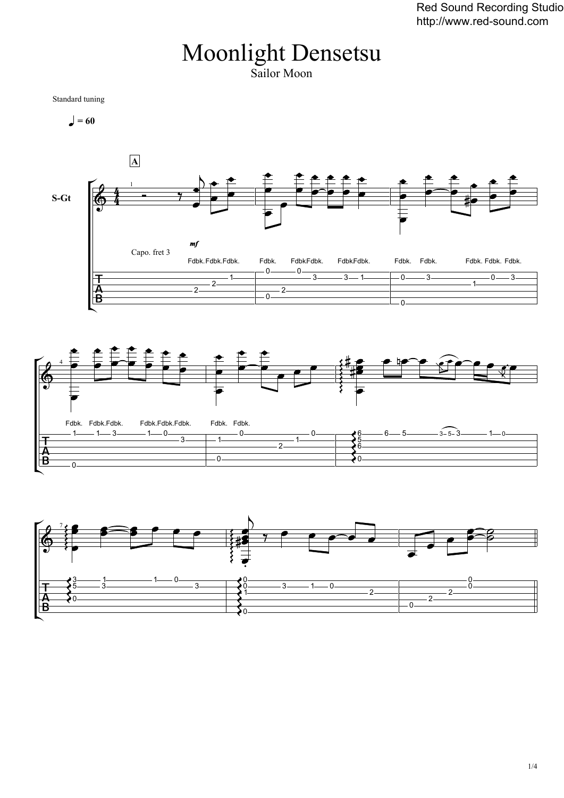## Moonlight Densetsu Sailor Moon

Standard tuning

 $= 60$ 





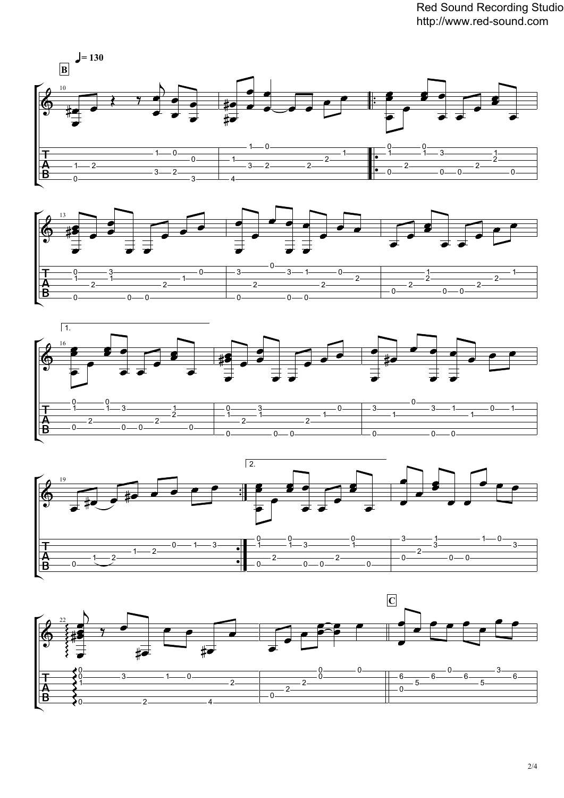Red Sound Recording Studio http://www.red-sound.com









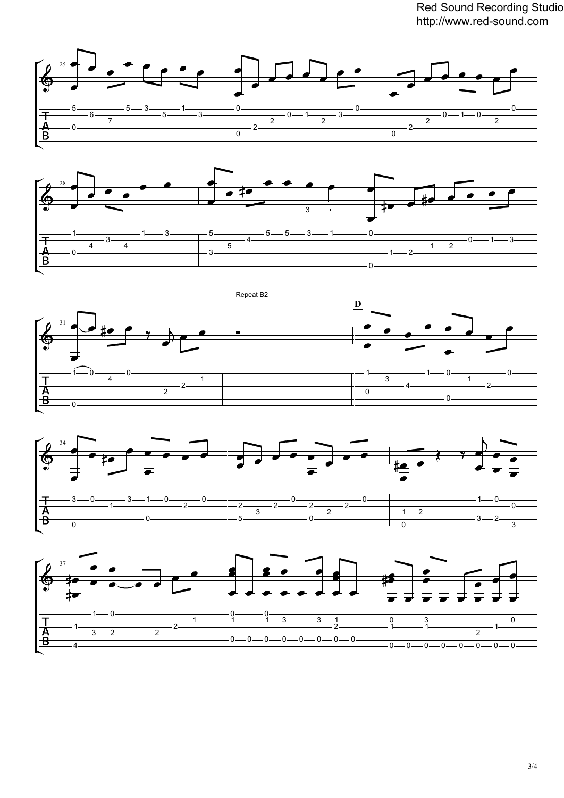Red Sound Recording Studio http://www.red-sound.com











3/4